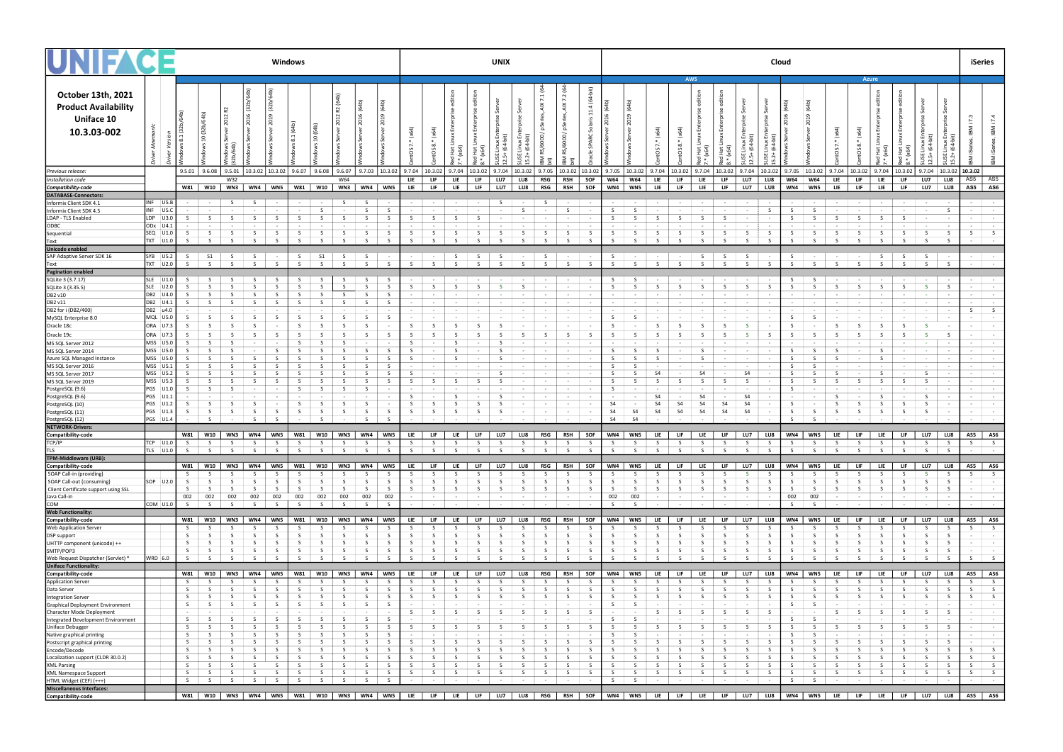|                                                                                       |                          |                    |                         |                    |                                                                                                                            |                    | Windows |                             |                    |                    |                    |            | <b>UNIX</b>              |                                                                  |                   |                          |              |              |                   |                          |                                                                                                                                                               |             | Cloud                                                                                                                                                                                                           |                 |                                      |                                 |                                |                                                                                                                                                                                                                                |                                                |    |                   |                                                                           |                   |                          |                   | iSeries                                                                                                                                                                                                                        |                                        |                                                 |                           |                                                       |
|---------------------------------------------------------------------------------------|--------------------------|--------------------|-------------------------|--------------------|----------------------------------------------------------------------------------------------------------------------------|--------------------|---------|-----------------------------|--------------------|--------------------|--------------------|------------|--------------------------|------------------------------------------------------------------|-------------------|--------------------------|--------------|--------------|-------------------|--------------------------|---------------------------------------------------------------------------------------------------------------------------------------------------------------|-------------|-----------------------------------------------------------------------------------------------------------------------------------------------------------------------------------------------------------------|-----------------|--------------------------------------|---------------------------------|--------------------------------|--------------------------------------------------------------------------------------------------------------------------------------------------------------------------------------------------------------------------------|------------------------------------------------|----|-------------------|---------------------------------------------------------------------------|-------------------|--------------------------|-------------------|--------------------------------------------------------------------------------------------------------------------------------------------------------------------------------------------------------------------------------|----------------------------------------|-------------------------------------------------|---------------------------|-------------------------------------------------------|
| October 13th, 2021<br><b>Product Availability</b><br><b>Uniface 10</b><br>10.3.03-002 |                          |                    |                         |                    |                                                                                                                            |                    |         |                             |                    |                    |                    |            | $\ddot{ }$               | $\infty$                                                         |                   |                          | 54<br>고      | ₽<br>್ಲಿ     | 7.1<br>8          | 7.2                      | . हे<br>$\overline{a}$<br>្ពុ                                                                                                                                 |             |                                                                                                                                                                                                                 |                 |                                      | <b>AWS</b>                      |                                |                                                                                                                                                                                                                                |                                                |    |                   |                                                                           |                   | Azure                    |                   |                                                                                                                                                                                                                                |                                        |                                                 | 7.3<br>$\overline{z}$     | ⋝                                                     |
| Previous release:                                                                     |                          |                    |                         |                    |                                                                                                                            |                    |         |                             |                    |                    |                    |            |                          |                                                                  |                   |                          |              |              |                   |                          | $9.6.07$   $9.6.08$   $9.6.07$   $9.7.03$   $10.3.02$   $9.7.04$   $10.3.02$   $9.7.04$   $10.3.02$   $9.7.04$   $10.3.02$   $9.7.05$   $10.3.02$   $10.3.02$ |             | $\vert$ 9.7.05 $\vert$ 10.3.02 $\vert$ 9.7.04 $\vert$ 10.3.02 $\vert$ 9.7.04 $\vert$ 10.3.02 $\vert$ 9.7.04 $\vert$ 10.3.02                                                                                     |                 |                                      |                                 |                                |                                                                                                                                                                                                                                |                                                |    |                   | $9.7.05$   10.3.02   9.7.04   10.3.02                                     |                   |                          |                   |                                                                                                                                                                                                                                |                                        | $9.7.04$   10.3.02   9.7.04   10.3.02   10.3.02 |                           |                                                       |
| Installation code                                                                     |                          |                    |                         | W32                | W81   W10   WN3   WN4   WN5                                                                                                |                    |         | W81   W10   WN3   WN4   WN5 |                    | W64                |                    |            | <b>LIE</b><br><b>LIE</b> | <b>LIF</b><br><b>LIF</b>                                         | LIE<br>LIE        | <b>LIF</b><br><b>LIF</b> | LU7<br>LU7   | LU8  <br>LU8 | RSG  <br>RSG      | RSH  <br><b>RSH</b>      | SOF<br>SOF                                                                                                                                                    |             | <b>W64</b><br><b>W64</b><br>WN4<br>WN5                                                                                                                                                                          | LIE –<br>LIE    | LIF <sub>1</sub><br>LIF <sub>1</sub> | <b>LIE</b><br><b>LIE</b>        | <b>LIF</b><br>LIF <sub>1</sub> |                                                                                                                                                                                                                                | LU7   LU8<br>LU7  <br>LU8                      |    | <b>W64</b><br>WN4 | <b>W64</b><br>WN5                                                         | LIE<br>LIE –      | LIF.<br>LIF <sub>1</sub> | LIE<br><b>LIE</b> | <b>LIF</b><br><b>LIF</b>                                                                                                                                                                                                       | LU7<br>LU7                             | LU8<br>LU8                                      | AS5   AS5<br>AS5 AS6      |                                                       |
| Compatibility-code<br>DATABASE-Connectors:                                            |                          |                    |                         |                    |                                                                                                                            |                    |         |                             |                    |                    |                    |            |                          |                                                                  |                   |                          |              |              |                   |                          |                                                                                                                                                               |             |                                                                                                                                                                                                                 |                 |                                      |                                 |                                |                                                                                                                                                                                                                                |                                                |    |                   |                                                                           |                   |                          |                   |                                                                                                                                                                                                                                |                                        |                                                 |                           |                                                       |
| Informix Client SDK 4.1                                                               | INF US.B                 |                    | $\sim 100$ km s $^{-1}$ | S -                | S                                                                                                                          | $\sim$ 100 $\pm$   |         | the control of the con-     |                    | S <sub>5</sub>     | S                  |            |                          | $   -$                                                           | and the state     | <b>Contract Contract</b> | S            |              | $ S$              |                          | and the state of the state                                                                                                                                    |             | $\sim 100$ km s $^{-1}$                                                                                                                                                                                         | and the control |                                      |                                 |                                | and the second control of the second control of the second control of the second control of the second control of the second control of the second control of the second control of the second control of the second control o |                                                |    |                   | $\sim 100$                                                                | <b>Contractor</b> |                          |                   | and the second control of the second control of the second control of the second control of the second control of the second control of the second control of the second control of the second control of the second control o |                                        |                                                 |                           | <b>CALL CONTRACT</b>                                  |
| Informix Client SDK 4.5                                                               | INF US.C<br>$LDP$ $U3.0$ |                    |                         |                    | $\sim$                                                                                                                     |                    |         |                             | - S                |                    | -S                 |            |                          |                                                                  |                   |                          |              |              |                   | -S                       |                                                                                                                                                               |             | - 5                                                                                                                                                                                                             |                 |                                      |                                 |                                | $\sim$ 100 $\mu$                                                                                                                                                                                                               |                                                |    |                   |                                                                           |                   |                          |                   |                                                                                                                                                                                                                                | $\sim 100$                             | S                                               |                           | the contract of the contract of                       |
| LDAP - TLS Enabled<br>ODBC                                                            | ODx U4.1                 |                    |                         |                    |                                                                                                                            |                    |         | -S                          |                    |                    |                    |            |                          |                                                                  |                   |                          |              |              |                   | $\sim$ 100 $\sim$        |                                                                                                                                                               |             |                                                                                                                                                                                                                 |                 |                                      |                                 |                                | $\sim$ 100 $\mu$                                                                                                                                                                                                               |                                                |    |                   |                                                                           |                   |                          |                   |                                                                                                                                                                                                                                |                                        | $\sim$ 100 $\pm$                                |                           | the control of the                                    |
| Sequential                                                                            | SEQ U1.0                 | -S                 | S.                      | - S                | S.                                                                                                                         | S <sub>5</sub>     |         | S <sub>1</sub>              | S                  | S.                 | S                  | - S        | -S                       | S.                                                               |                   |                          |              | - 5          | - S               | S.                       | - S                                                                                                                                                           |             | S.<br>S.                                                                                                                                                                                                        | - S             |                                      | - S                             | S.                             | S.                                                                                                                                                                                                                             |                                                | S. | S.                | - S                                                                       | - S               |                          | - S               | S.                                                                                                                                                                                                                             | S.                                     | S.                                              |                           | $S \qquad S$                                          |
| Text                                                                                  | TXT   U1.0               |                    | $\varsigma$             | $\varsigma$        | $\varsigma$                                                                                                                |                    |         | $\varsigma$                 | $\zeta$            | $\varsigma$        | $\varsigma$        |            |                          | $\varsigma$                                                      |                   |                          |              | S.           | $\varsigma$       | $\sim$                   | $\sim$                                                                                                                                                        |             | $\sim$                                                                                                                                                                                                          |                 |                                      |                                 |                                | S.                                                                                                                                                                                                                             | $\varsigma$                                    |    |                   | $\varsigma$                                                               |                   |                          |                   |                                                                                                                                                                                                                                |                                        |                                                 | <b>Service</b>            | $\sim$                                                |
| Unicode enabled<br>SAP Adaptive Server SDK 16                                         | SYB U5.2                 | S.                 | S1                      |                    | S                                                                                                                          | $S \qquad \qquad$  |         | $S \qquad \qquad$           | S1                 | $S \t S$           |                    | $\sim$ $-$ |                          | $  \sqrt{5}$                                                     |                   | $S \cup$                 |              |              |                   |                          | $S \left  \cdot \right  S \left  \cdot \right $                                                                                                               |             | $S \rightarrow \rightarrow \rightarrow \rightarrow$ $S \rightarrow$                                                                                                                                             |                 |                                      |                                 |                                |                                                                                                                                                                                                                                |                                                |    |                   | $S \rightarrow \rightarrow \rightarrow \rightarrow$ $S \rightarrow S$ $S$ |                   |                          |                   |                                                                                                                                                                                                                                |                                        |                                                 |                           | the control of the                                    |
| Text                                                                                  | TXT U2.0                 | $\varsigma$        | $\zeta$                 | S                  | - S                                                                                                                        | S.                 |         | S                           | S                  | $\zeta$            | S                  | - S        | $S \mid$                 | S                                                                | $\zeta$           |                          | $\varsigma$  | S.           | S                 | S                        | S                                                                                                                                                             |             | S<br>$\varsigma$                                                                                                                                                                                                | S               | S                                    | S                               | S.                             | S.                                                                                                                                                                                                                             | S.                                             |    | $\varsigma$       | S                                                                         | S                 | S                        | S                 | S                                                                                                                                                                                                                              | S                                      | $\vert$ S                                       |                           | the control of the control                            |
| <b>Pagination enabled</b>                                                             |                          |                    |                         |                    |                                                                                                                            |                    |         |                             |                    |                    |                    |            |                          |                                                                  |                   |                          |              |              |                   |                          |                                                                                                                                                               |             |                                                                                                                                                                                                                 |                 |                                      |                                 |                                |                                                                                                                                                                                                                                |                                                |    |                   |                                                                           |                   |                          |                   |                                                                                                                                                                                                                                |                                        |                                                 |                           |                                                       |
| SQLite 3 (3.7.17)<br>SQLite 3 (3.35.5)                                                | SLE U1.0<br>SLE U2.0     | -S                 | -S                      |                    | -S                                                                                                                         | - S                |         | S <sub>3</sub><br>S.        | S.<br>- S          | <b>S</b><br>S      | S.<br>-S           | - S        |                          | $\sim$ 100 $\sim$                                                |                   |                          |              | $\sim$ $-$   |                   | <b>Contract Contract</b> | $\sim$                                                                                                                                                        |             | S.<br>- S                                                                                                                                                                                                       | $\sim$ $-$      | $\sim 100$                           | $\sim 100$                      | $\sim 100$                     | S.                                                                                                                                                                                                                             | <b>Contract Contract</b><br>$\sim$<br><b>S</b> |    |                   | - S                                                                       |                   | $\sim$ 100 $\pm$         | $\sim$ 100 $\sim$ |                                                                                                                                                                                                                                | <b>Contract Contract</b><br>S          | $\sim$<br>S                                     | the control of            | the contract of the contract of the<br>$\sim 10^{-1}$ |
| DB2 v10                                                                               | DB2 U4.0                 |                    |                         |                    | -S                                                                                                                         |                    |         | <b>S</b>                    | S                  | S.                 | S.                 |            |                          |                                                                  |                   |                          |              |              |                   |                          |                                                                                                                                                               |             |                                                                                                                                                                                                                 |                 |                                      |                                 |                                |                                                                                                                                                                                                                                |                                                |    |                   |                                                                           |                   |                          |                   |                                                                                                                                                                                                                                |                                        |                                                 | <b>Contract Contract</b>  | $\sim$ 100 $\pm$                                      |
| DB2 v11                                                                               | DB2 U4.<br>DB2 u4.0      |                    |                         |                    | -S                                                                                                                         |                    |         | -S                          | - S                | - S                | -S                 |            |                          |                                                                  |                   |                          |              |              |                   |                          |                                                                                                                                                               |             |                                                                                                                                                                                                                 |                 |                                      |                                 |                                | $\sim$ 100 $\mu$                                                                                                                                                                                                               |                                                |    |                   |                                                                           |                   |                          |                   |                                                                                                                                                                                                                                | <b>Contract Contract</b>               | $\sim$ $\sim$                                   | S                         | $\sim$<br>S                                           |
| DB2 for i (DB2/400)<br>MySQL Enterprise 8.0                                           | MQL U5.0                 |                    |                         |                    |                                                                                                                            |                    |         | -S                          | - S                |                    | -S                 |            |                          |                                                                  |                   |                          |              |              |                   | $\sim 100$               |                                                                                                                                                               |             | - S                                                                                                                                                                                                             |                 |                                      |                                 |                                | $\sim 100$                                                                                                                                                                                                                     |                                                |    |                   |                                                                           |                   |                          |                   |                                                                                                                                                                                                                                | $\sim 100$<br><b>Contract Contract</b> | $\sim$ 100 $\pm$                                | $\sim$                    |                                                       |
| Oracle 18c                                                                            | ORA U7.3                 |                    |                         |                    |                                                                                                                            |                    |         | - S                         | - S                |                    |                    |            |                          |                                                                  |                   |                          |              |              |                   |                          |                                                                                                                                                               |             |                                                                                                                                                                                                                 |                 |                                      |                                 |                                | -S.                                                                                                                                                                                                                            |                                                |    |                   |                                                                           |                   |                          |                   |                                                                                                                                                                                                                                |                                        |                                                 |                           |                                                       |
| Oracle 19c                                                                            | ORA U7.                  |                    |                         |                    | -S                                                                                                                         | - S                |         | <b>S</b>                    | - S                | - S                | -S                 | - S        |                          |                                                                  |                   |                          |              |              |                   | S.                       | s s                                                                                                                                                           |             | S.                                                                                                                                                                                                              | - 5             |                                      |                                 |                                | - S                                                                                                                                                                                                                            | - S                                            |    |                   | $\mathsf{S}$                                                              |                   |                          |                   |                                                                                                                                                                                                                                |                                        | - S                                             | $\sim$ $-$                | $\sim$                                                |
| MS SQL Server 2012                                                                    | MSS U5.0<br>MSS U5.0     |                    |                         |                    |                                                                                                                            |                    |         | S.<br>-S                    |                    |                    |                    |            |                          |                                                                  |                   |                          |              |              |                   |                          |                                                                                                                                                               |             |                                                                                                                                                                                                                 |                 |                                      |                                 |                                |                                                                                                                                                                                                                                |                                                |    |                   |                                                                           |                   |                          |                   |                                                                                                                                                                                                                                | $\sim 10^{-1}$                         | $\sim$ $-$<br><b>State State</b>                | <b>Contract</b>           | $\sim$<br>the company of the                          |
| MS SQL Server 2014<br>Azure SQL Managed Instance                                      | MSS U5.0                 |                    |                         |                    |                                                                                                                            |                    |         |                             |                    |                    |                    |            |                          |                                                                  |                   |                          |              |              |                   |                          |                                                                                                                                                               |             |                                                                                                                                                                                                                 |                 |                                      |                                 |                                |                                                                                                                                                                                                                                |                                                |    |                   |                                                                           |                   |                          |                   |                                                                                                                                                                                                                                |                                        |                                                 | $\sim$                    | $\sim$                                                |
| MS SQL Server 2016                                                                    | MSS U5.1                 |                    |                         |                    |                                                                                                                            |                    |         |                             |                    |                    |                    |            |                          |                                                                  |                   |                          |              |              |                   |                          |                                                                                                                                                               |             |                                                                                                                                                                                                                 |                 |                                      |                                 |                                |                                                                                                                                                                                                                                |                                                |    |                   |                                                                           |                   |                          |                   |                                                                                                                                                                                                                                |                                        |                                                 |                           | <b>Service</b> Service                                |
| MS SQL Server 2017                                                                    | MSS U5.2<br>MSS U5.3     |                    |                         |                    |                                                                                                                            |                    |         |                             |                    |                    |                    |            |                          |                                                                  |                   |                          |              |              |                   |                          |                                                                                                                                                               |             |                                                                                                                                                                                                                 |                 |                                      |                                 |                                | S <sub>4</sub>                                                                                                                                                                                                                 |                                                |    |                   |                                                                           |                   |                          |                   |                                                                                                                                                                                                                                |                                        | $\sim$                                          | <b>Service</b>            | the contract of the contract of<br>$\sim$             |
| MS SQL Server 2019<br>PostgreSQL (9.6)                                                | PGS U1.                  |                    | -S                      |                    |                                                                                                                            |                    |         | -S                          | - S                |                    | -S                 |            |                          |                                                                  |                   |                          |              |              |                   |                          |                                                                                                                                                               |             |                                                                                                                                                                                                                 |                 |                                      |                                 |                                |                                                                                                                                                                                                                                |                                                |    |                   |                                                                           |                   |                          |                   |                                                                                                                                                                                                                                |                                        |                                                 | $\sim$ 100 $\pm$          | $\sim$ 100 $\pm$                                      |
| PostgreSQL (9.6)                                                                      | PGS U1.                  |                    |                         |                    |                                                                                                                            |                    |         |                             |                    |                    |                    |            |                          |                                                                  |                   |                          |              |              |                   |                          |                                                                                                                                                               |             |                                                                                                                                                                                                                 |                 |                                      |                                 |                                | S <sub>4</sub>                                                                                                                                                                                                                 |                                                |    |                   |                                                                           |                   |                          |                   |                                                                                                                                                                                                                                |                                        |                                                 | <b>Service</b>            | $\sim$                                                |
| PostgreSQL (10)<br>PostgreSQL (11)                                                    | PGS U1.<br>$PGS$ $U1.3$  | -S                 | -S                      |                    | -S<br>-S                                                                                                                   | - S                |         | -S<br>-S                    | - S<br>- S         | -S<br>-S           | -S<br>-S           |            |                          |                                                                  |                   |                          |              |              |                   |                          |                                                                                                                                                               | S4          | <b>S4</b><br><b>S4</b>                                                                                                                                                                                          | -S4<br>$S_4$    | S <sub>4</sub>                       | S <sub>4</sub>                  | S <sub>4</sub>                 | S <sub>4</sub><br>S <sub>4</sub>                                                                                                                                                                                               |                                                |    |                   |                                                                           |                   |                          |                   |                                                                                                                                                                                                                                |                                        |                                                 | <b>Contract Contract</b>  | $\sim$<br>the company of the                          |
| PostgreSQL (12)                                                                       | PGS U1.4                 |                    |                         |                    | $\zeta$                                                                                                                    |                    |         |                             | $\sim$             |                    | $\zeta$            |            |                          |                                                                  |                   |                          |              |              |                   | $\sim$ 100 $\mu$         |                                                                                                                                                               |             | <b>S4</b><br>S <sub>4</sub>                                                                                                                                                                                     |                 |                                      |                                 | $\sim$                         |                                                                                                                                                                                                                                |                                                |    |                   |                                                                           |                   |                          |                   |                                                                                                                                                                                                                                |                                        |                                                 |                           | the control of the                                    |
| NETWORK-Drivers:                                                                      |                          |                    |                         |                    |                                                                                                                            |                    |         |                             |                    |                    |                    |            |                          |                                                                  |                   |                          |              |              |                   |                          |                                                                                                                                                               |             |                                                                                                                                                                                                                 |                 |                                      |                                 |                                |                                                                                                                                                                                                                                |                                                |    |                   |                                                                           |                   |                          |                   |                                                                                                                                                                                                                                |                                        |                                                 |                           |                                                       |
| Compatibility-code<br>TCP/IP                                                          |                          | $TCP$ $U1.0$ S     | $S \qquad  $            |                    | W81   W10   WN3   WN4   WN5   W81   W10   WN3   WN4   WN5  <br>$S \mid S \mid S \mid S \mid S \mid S \mid S \mid S \mid S$ |                    |         |                             |                    |                    |                    |            |                          | LIE   LIF   LIE   LIF   LU7   LU8   RSG  <br>$S \qquad S \qquad$ | $S \qquad \qquad$ | S.                       | $S \qquad  $ | S.           | $S \qquad \qquad$ | S.                       | RSH SOF<br>S —                                                                                                                                                |             | <b>WN4 WN5</b>                                                                                                                                                                                                  | LIE             | LIF <b>I</b>                         | LIE  <br>$S \mid S \mid S \mid$ |                                | LIF   LU7   LU8<br>S.                                                                                                                                                                                                          |                                                | S  | WN4   WN5<br>S    |                                                                           | LIE               | LIF <sub>1</sub>         | LIE               | LIF <sub>11</sub><br>$S \vert S \vert S \vert S \vert S \vert S$                                                                                                                                                               |                                        | LU7 LU8<br>S                                    | AS5   AS6                 |                                                       |
| <b>TLS</b>                                                                            | TLS U1.0                 | - S                | S                       | $\vert$ s          | S                                                                                                                          | S                  |         | S                           | $\vert$ s          | S                  | S                  | <b>S</b>   | S.                       |                                                                  |                   |                          |              |              |                   |                          | $\overline{\phantom{a}}$ s                                                                                                                                    |             | S<br>S.                                                                                                                                                                                                         |                 |                                      |                                 |                                |                                                                                                                                                                                                                                | $\begin{array}{ccc} & & S \end{array}$         |    | S                 |                                                                           |                   |                          |                   |                                                                                                                                                                                                                                |                                        |                                                 | <b>Service</b> Pro        |                                                       |
| TPM-Middleware (URB):                                                                 |                          |                    |                         |                    |                                                                                                                            |                    |         |                             |                    |                    |                    |            |                          |                                                                  |                   |                          |              |              |                   |                          |                                                                                                                                                               |             |                                                                                                                                                                                                                 |                 |                                      |                                 |                                |                                                                                                                                                                                                                                |                                                |    |                   |                                                                           |                   |                          |                   |                                                                                                                                                                                                                                |                                        |                                                 |                           |                                                       |
| Compatibility-code<br>SOAP Call-in (providing)                                        |                          | -S                 |                         |                    | W81   W10   WN3   WN4                                                                                                      | <b>WN5</b>         |         | W81 W10<br>-S               |                    | WN3                | WN4                | WN5        | <b>LIE</b><br>-S         | LIF                                                              | LIE –             | LIF <sub>11</sub>        | LU7          | LU8          | RSG               | RSH                      | SOF                                                                                                                                                           |             | <b>WN4 WN5</b>                                                                                                                                                                                                  | LIE –           | LIF <sub>1</sub>                     | LIE –                           |                                | LIF   LU7   LU8                                                                                                                                                                                                                |                                                |    | WN4   WN5         |                                                                           | LIE –             | LIF <sub>1</sub>         | LIE –             | <b>LIF</b>                                                                                                                                                                                                                     | LU7                                    | LU8                                             | AS5   AS6<br>S.           | S.                                                    |
| SOAP Call-out (consuming)                                                             | SOP U2.0                 | <sub>S</sub>       |                         | -S                 | -S                                                                                                                         | - S                |         | <b>S</b>                    | -S                 | -S                 | - S                | -S         | -S                       |                                                                  |                   |                          |              |              |                   | - S                      | - S                                                                                                                                                           | -S          | - S                                                                                                                                                                                                             |                 |                                      |                                 |                                | -S                                                                                                                                                                                                                             | - S                                            |    | S                 | - S                                                                       |                   |                          |                   |                                                                                                                                                                                                                                |                                        | S.                                              |                           | $\sim$ $-$                                            |
| Client Certificate support using SSL                                                  |                          | <sub>S</sub>       | -S                      | -S                 | S.                                                                                                                         | - S                |         | S                           | -S                 | - S                | -S                 | -S         | -S                       | $\varsigma$                                                      |                   |                          |              |              | - 5               | -S                       | - S                                                                                                                                                           |             | - S                                                                                                                                                                                                             | - 5             |                                      |                                 |                                | S.                                                                                                                                                                                                                             | - S                                            |    | -S                | - S                                                                       | - 5               |                          | - 5               |                                                                                                                                                                                                                                | $\sim$                                 | S.                                              |                           | the control of the control                            |
| Java Call-in<br>COM                                                                   | COM U1.0                 | 002<br>- S         | 002<br>$\varsigma$      | 002<br>$\varsigma$ | 002<br>$\zeta$                                                                                                             | 002<br>$\varsigma$ |         | 002<br>$\varsigma$          | 002<br>$\varsigma$ | 002<br>$\varsigma$ | 002<br>$\varsigma$ | 002        | $\sim$                   |                                                                  |                   |                          |              |              |                   | $\sim$ 100 $\mu$         | $\sim$ 100 $\mu$                                                                                                                                              | 002         | 002                                                                                                                                                                                                             |                 |                                      |                                 | $\sim$                         | <b>Contract</b>                                                                                                                                                                                                                | $\sim$ 100 $\mu$                               |    | 002               | 002                                                                       |                   |                          |                   |                                                                                                                                                                                                                                | <b>Contract</b>                        | $\sim$ 100 $\mu$                                | <b>Allen Market</b>       | the company of the company<br>$\sim 100$              |
| Web Functionality:                                                                    |                          |                    |                         |                    |                                                                                                                            |                    |         |                             |                    |                    |                    |            |                          |                                                                  |                   |                          |              |              |                   |                          |                                                                                                                                                               |             |                                                                                                                                                                                                                 |                 |                                      |                                 |                                |                                                                                                                                                                                                                                |                                                |    |                   |                                                                           |                   |                          |                   |                                                                                                                                                                                                                                |                                        |                                                 |                           |                                                       |
| Compatibility-code                                                                    |                          | W81                | W10   WN3               |                    | WN4                                                                                                                        | WN5                |         | <b>W81</b>                  | <b>W10</b>         | WN3                | WN4                | WN5        | LIE                      | LIF <sub>1</sub>                                                 | LIE               | LIF                      | LU7          | LU8          | RSG               | RSH                      | SOF                                                                                                                                                           |             | <b>WN4 WN5</b>                                                                                                                                                                                                  | LIE             | LIF .                                | LIE                             | LIF                            |                                                                                                                                                                                                                                | LU7   LU8                                      |    | WN4               | WN5                                                                       | LIE               | LIF                      | LIE               | LIF                                                                                                                                                                                                                            | LU7                                    | LU8                                             | AS5   AS6                 |                                                       |
| Web Application Server<br>DSP support                                                 |                          | - S<br>-S          | -S                      | -S                 | -S                                                                                                                         | - S                |         | -S<br>S                     | - S                | -S                 | -S                 | -S         | -S                       |                                                                  |                   |                          |              |              |                   | - S                      | - S                                                                                                                                                           | -S          | - S                                                                                                                                                                                                             |                 |                                      |                                 |                                | -S                                                                                                                                                                                                                             | - S                                            |    | -S                |                                                                           |                   |                          |                   |                                                                                                                                                                                                                                | - S                                    | - S                                             |                           | S.                                                    |
| UHTTP component (unicode) ++                                                          |                          | <sub>S</sub>       | -S                      |                    | -S                                                                                                                         |                    |         | -S                          | -S                 | ς.                 | -S                 | -S         |                          |                                                                  |                   |                          |              |              |                   | - S                      | - S                                                                                                                                                           |             |                                                                                                                                                                                                                 |                 |                                      |                                 |                                |                                                                                                                                                                                                                                |                                                |    | -S                |                                                                           |                   |                          |                   |                                                                                                                                                                                                                                |                                        | - S                                             | $\sim$                    | $\sim$ $-$                                            |
| SMTP/POP3                                                                             |                          | S.                 | -S                      |                    | -S                                                                                                                         | - S                |         | -S                          | -S                 | - 5                | -S                 | -S         | -S                       | - 5.                                                             |                   |                          |              | - 5          | - 5               | -S                       | - S                                                                                                                                                           |             | - S                                                                                                                                                                                                             | S.              |                                      |                                 |                                | -S                                                                                                                                                                                                                             | - S                                            |    | $\varsigma$       | $\varsigma$                                                               | - 5               |                          |                   |                                                                                                                                                                                                                                |                                        | S.                                              | <b>Contract Contract</b>  | $\sim 100$                                            |
| Web Request Dispatcher (Servlet) *<br><b>Uniface Functionality:</b>                   | WRD 6.0                  | $\varsigma$        |                         |                    |                                                                                                                            |                    |         |                             |                    |                    |                    |            |                          |                                                                  |                   |                          |              |              |                   |                          |                                                                                                                                                               |             |                                                                                                                                                                                                                 |                 |                                      |                                 |                                |                                                                                                                                                                                                                                |                                                |    |                   |                                                                           |                   |                          |                   |                                                                                                                                                                                                                                |                                        |                                                 | -S                        | S.                                                    |
| Compatibility-code                                                                    |                          | W81                | $ $ W10 $ $             | WN3                | WN4                                                                                                                        | WN5                |         | W81                         | W10                | WN3                | WN4                | WN5        | LIE                      | LIF                                                              | LIE               | LIF .                    | LU7          | LU8          | RSG               | <b>RSH</b>               | SOF                                                                                                                                                           |             | WN4<br>WN5                                                                                                                                                                                                      | LIE             | LIF .                                | LIE                             | LIF                            |                                                                                                                                                                                                                                | LU7   LU8                                      |    | WN4               | WN5                                                                       | LIE               | LIF                      | LIE               | LIF.                                                                                                                                                                                                                           | LU7                                    | LU8                                             | AS5   AS6                 |                                                       |
| Application Server                                                                    |                          |                    |                         |                    |                                                                                                                            |                    |         |                             |                    |                    |                    |            |                          |                                                                  |                   |                          |              |              |                   |                          |                                                                                                                                                               |             |                                                                                                                                                                                                                 |                 |                                      |                                 |                                |                                                                                                                                                                                                                                |                                                |    |                   |                                                                           |                   |                          |                   |                                                                                                                                                                                                                                |                                        |                                                 |                           |                                                       |
| Data Server<br>Integration Server                                                     |                          | S.<br>S.           | -S<br>-S                | -S<br>$\varsigma$  | -S<br>-S                                                                                                                   | - S<br>- S         |         | S<br>-S                     | S.<br>$\varsigma$  | - S<br>-S          | - S<br>-S          | S.         | -S                       | - S                                                              |                   |                          |              | - S          | - S               | - S<br>- S               | - S<br>- 5                                                                                                                                                    | -S          | - S<br>- 5                                                                                                                                                                                                      | -S<br>- 5       |                                      | S.                              |                                | -S<br>$\varsigma$                                                                                                                                                                                                              | - S<br>$\varsigma$                             |    | S.<br>-S          | - S                                                                       | - S<br>- 5        | - S                      | - S               | - S                                                                                                                                                                                                                            | S.<br>$\sim$                           | S.<br>- S                                       | S.<br>S.                  | S.<br>S.                                              |
| Graphical Deployment Environment                                                      |                          | -S                 | -S                      | -S                 | -S                                                                                                                         | - S                |         | -S                          | - S                | -S                 | - S                | ς          |                          |                                                                  |                   |                          |              |              |                   |                          |                                                                                                                                                               | $\varsigma$ | - S                                                                                                                                                                                                             |                 |                                      |                                 |                                |                                                                                                                                                                                                                                |                                                |    | $\varsigma$       | $\varsigma$                                                               |                   |                          |                   |                                                                                                                                                                                                                                |                                        |                                                 | $\sim$                    | $\sim 100$                                            |
| Character Mode Deployment                                                             |                          |                    | $\sim$                  |                    | $\sim$                                                                                                                     |                    |         | $\sim$                      | $\sim$             |                    | $\sim$             |            |                          |                                                                  |                   |                          |              |              |                   | - 5                      | - 5                                                                                                                                                           |             |                                                                                                                                                                                                                 |                 |                                      |                                 |                                | -S                                                                                                                                                                                                                             | - 5                                            |    |                   |                                                                           |                   |                          |                   |                                                                                                                                                                                                                                |                                        | S.                                              | <b>Service</b>            | $\sim$ 100 $\pm$                                      |
| Integrated Development Environment<br>Uniface Debugger                                |                          | S.<br><sub>S</sub> | -S<br>-S                | -S.                | -S<br>-S                                                                                                                   | - S                |         | -S<br><sub>S</sub>          | - S<br>-S          | -S                 | - S<br>-S          | -S         |                          |                                                                  |                   |                          |              |              |                   | -S                       |                                                                                                                                                               | -S          | - S                                                                                                                                                                                                             |                 |                                      |                                 |                                |                                                                                                                                                                                                                                |                                                |    | -S                |                                                                           |                   |                          |                   |                                                                                                                                                                                                                                |                                        | $\sim 100$<br>- S                               | <b>Contract</b><br>$\sim$ | $\sim$ 100 $\pm$<br>$\sim$ $-$                        |
| Native graphical printing                                                             |                          | S.                 | -S                      |                    | $\varsigma$                                                                                                                |                    |         | -S                          | ς.                 |                    | ς                  |            |                          |                                                                  |                   |                          |              |              |                   |                          |                                                                                                                                                               | $\varsigma$ |                                                                                                                                                                                                                 |                 |                                      |                                 |                                |                                                                                                                                                                                                                                |                                                |    | -S                |                                                                           |                   |                          |                   |                                                                                                                                                                                                                                |                                        |                                                 | $\sim$                    | $\sim$                                                |
| Postscript graphical printing                                                         |                          | -S                 | -S                      | -S                 | -S                                                                                                                         |                    |         | -S                          | - S                |                    | ς                  |            |                          |                                                                  |                   |                          |              |              |                   |                          | ∫ S                                                                                                                                                           |             |                                                                                                                                                                                                                 |                 |                                      |                                 |                                |                                                                                                                                                                                                                                | - 5                                            |    | $\varsigma$       |                                                                           |                   |                          |                   |                                                                                                                                                                                                                                |                                        | - S                                             |                           | $\sim$                                                |
| Encode/Decode<br>Localization support (CLDR 30.0.2)                                   |                          | S<br>S.            | S.<br>-S                | -S                 | -S<br>-S                                                                                                                   | - S                |         | -S<br>-S                    | - S<br>- S         | -S<br>- 5          | -S<br>-S           | -S         | -S                       |                                                                  |                   |                          |              |              |                   | - S<br>- 5               | - S<br>- S                                                                                                                                                    | $\varsigma$ | - S<br>- 5                                                                                                                                                                                                      |                 |                                      |                                 |                                | - 5.                                                                                                                                                                                                                           | -S                                             |    | -S<br>$\varsigma$ |                                                                           |                   |                          |                   |                                                                                                                                                                                                                                |                                        | - S<br>- S                                      | S <sub>1</sub><br>S.      | S.<br>S                                               |
| <b>XML Parsing</b>                                                                    |                          | -S                 | -S                      |                    |                                                                                                                            |                    |         | -S                          | -S                 |                    | -S                 |            |                          |                                                                  |                   |                          |              |              |                   |                          | - 5                                                                                                                                                           |             |                                                                                                                                                                                                                 |                 |                                      |                                 |                                |                                                                                                                                                                                                                                |                                                |    |                   |                                                                           |                   |                          |                   |                                                                                                                                                                                                                                |                                        | - S                                             | S <sub>1</sub>            | S.                                                    |
| XML Namespace Support                                                                 |                          | S.                 | S.                      | S.                 | -S                                                                                                                         | - S                |         | S                           | S.                 | - S                | -S                 | -S         | -S                       | -S                                                               |                   |                          |              |              |                   | - S                      | - S                                                                                                                                                           | -S          | - S                                                                                                                                                                                                             |                 |                                      |                                 |                                | -S                                                                                                                                                                                                                             | -S                                             |    | -S                | - S                                                                       |                   |                          |                   |                                                                                                                                                                                                                                |                                        | - S                                             | S                         | S.                                                    |
| HTML Widget (CEF) (+++)<br>Miscellaneous Interfaces:                                  |                          | - S                | - S                     | S                  | S.                                                                                                                         | $\sim$             |         | $\varsigma$                 | S                  | $\sim$             | - S                | <b>S</b>   |                          |                                                                  |                   |                          |              |              |                   |                          |                                                                                                                                                               |             | $\sim$<br>S                                                                                                                                                                                                     |                 |                                      |                                 |                                |                                                                                                                                                                                                                                |                                                |    | $\zeta$           | $\sim$                                                                    |                   |                          |                   |                                                                                                                                                                                                                                |                                        |                                                 |                           |                                                       |
| Compatibility-code                                                                    |                          |                    |                         |                    |                                                                                                                            |                    |         |                             |                    |                    |                    |            |                          |                                                                  |                   |                          |              |              |                   |                          |                                                                                                                                                               |             | W81   W10   WN3   WN4   WN5   W81   W10   WN3   WN4   WN5   LIE   LIF   LIF   LU7   LU7   LU8   RSG   RSH   SOF   WN4   WN5   LIE   LIF   LU7   LU8   WN4   WN5   LIE   LIF   LIF   LU7   LU7   LU8   ASS   AS6 |                 |                                      |                                 |                                |                                                                                                                                                                                                                                |                                                |    |                   |                                                                           |                   |                          |                   |                                                                                                                                                                                                                                |                                        |                                                 |                           |                                                       |